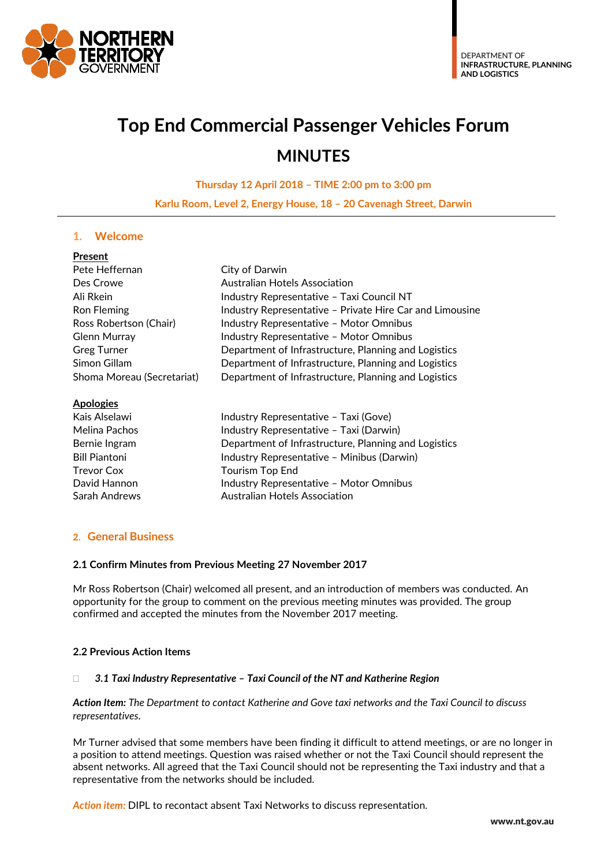

# **Top End Commercial Passenger Vehicles Forum MINUTES**

**Thursday 12 April 2018 – TIME 2:00 pm to 3:00 pm**

**Karlu Room, Level 2, Energy House, 18 – 20 Cavenagh Street, Darwin**

# **1. Welcome**

| Present                    |                                                          |  |  |
|----------------------------|----------------------------------------------------------|--|--|
| Pete Heffernan             | City of Darwin                                           |  |  |
| Des Crowe                  | Australian Hotels Association                            |  |  |
| Ali Rkein                  | Industry Representative - Taxi Council NT                |  |  |
| <b>Ron Fleming</b>         | Industry Representative - Private Hire Car and Limousine |  |  |
| Ross Robertson (Chair)     | Industry Representative - Motor Omnibus                  |  |  |
| <b>Glenn Murray</b>        | Industry Representative - Motor Omnibus                  |  |  |
| <b>Greg Turner</b>         | Department of Infrastructure, Planning and Logistics     |  |  |
| Simon Gillam               | Department of Infrastructure, Planning and Logistics     |  |  |
| Shoma Moreau (Secretariat) | Department of Infrastructure, Planning and Logistics     |  |  |
| <b>Apologies</b>           |                                                          |  |  |
| Kais Alselawi              | Industry Representative - Taxi (Gove)                    |  |  |
| Melina Pachos              | Industry Representative - Taxi (Darwin)                  |  |  |
| Bernie Ingram              | Department of Infrastructure, Planning and Logistics     |  |  |
| <b>Bill Piantoni</b>       | Industry Representative - Minibus (Darwin)               |  |  |

| Bernie Ingram        | Department of Infrastructure, Planning and Logi |
|----------------------|-------------------------------------------------|
| <b>Bill Piantoni</b> | Industry Representative - Minibus (Darwin)      |
| Trevor Cox           | Tourism Top End                                 |
| David Hannon         | Industry Representative - Motor Omnibus         |
| Sarah Andrews        | Australian Hotels Association                   |

# **2. General Business**

#### **2.1 Confirm Minutes from Previous Meeting 27 November 2017**

Mr Ross Robertson (Chair) welcomed all present, and an introduction of members was conducted. An opportunity for the group to comment on the previous meeting minutes was provided. The group confirmed and accepted the minutes from the November 2017 meeting.

# **2.2 Previous Action Items**

#### *3.1 Taxi Industry Representative – Taxi Council of the NT and Katherine Region*

*Action Item: The Department to contact Katherine and Gove taxi networks and the Taxi Council to discuss representatives.*

Mr Turner advised that some members have been finding it difficult to attend meetings, or are no longer in a position to attend meetings. Question was raised whether or not the Taxi Council should represent the absent networks. All agreed that the Taxi Council should not be representing the Taxi industry and that a representative from the networks should be included.

*Action item:* DIPL to recontact absent Taxi Networks to discuss representation.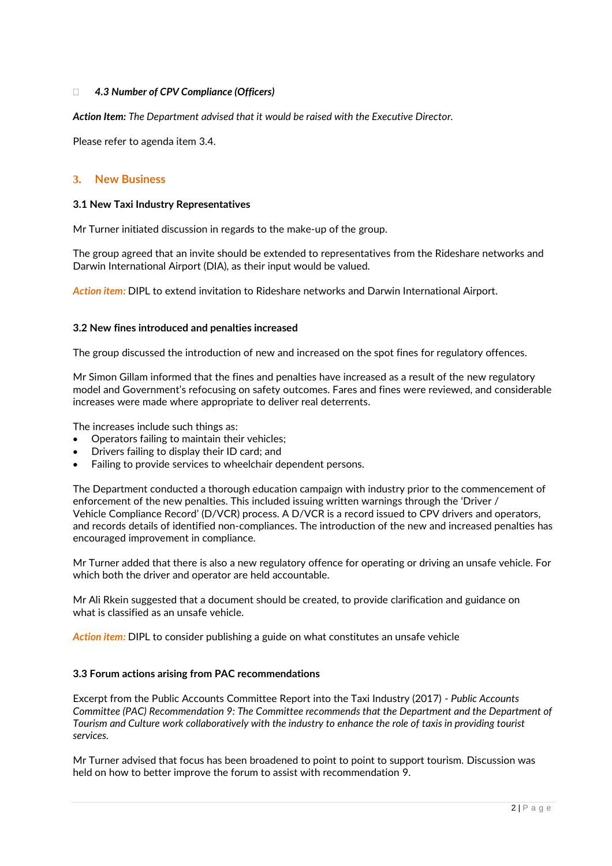# *4.3 Number of CPV Compliance (Officers)*

*Action Item: The Department advised that it would be raised with the Executive Director.*

Please refer to agenda item 3.4.

### **3. New Business**

#### **3.1 New Taxi Industry Representatives**

Mr Turner initiated discussion in regards to the make-up of the group.

The group agreed that an invite should be extended to representatives from the Rideshare networks and Darwin International Airport (DIA), as their input would be valued.

*Action item:* DIPL to extend invitation to Rideshare networks and Darwin International Airport.

#### **3.2 New fines introduced and penalties increased**

The group discussed the introduction of new and increased on the spot fines for regulatory offences.

Mr Simon Gillam informed that the fines and penalties have increased as a result of the new regulatory model and Government's refocusing on safety outcomes. Fares and fines were reviewed, and considerable increases were made where appropriate to deliver real deterrents.

The increases include such things as:

- Operators failing to maintain their vehicles;
- Drivers failing to display their ID card; and
- Failing to provide services to wheelchair dependent persons.

The Department conducted a thorough education campaign with industry prior to the commencement of enforcement of the new penalties. This included issuing written warnings through the 'Driver / Vehicle Compliance Record' (D/VCR) process. A D/VCR is a record issued to CPV drivers and operators, and records details of identified non-compliances. The introduction of the new and increased penalties has encouraged improvement in compliance.

Mr Turner added that there is also a new regulatory offence for operating or driving an unsafe vehicle. For which both the driver and operator are held accountable.

Mr Ali Rkein suggested that a document should be created, to provide clarification and guidance on what is classified as an unsafe vehicle.

*Action item:* DIPL to consider publishing a guide on what constitutes an unsafe vehicle

#### **3.3 Forum actions arising from PAC recommendations**

Excerpt from the Public Accounts Committee Report into the Taxi Industry (2017) - *Public Accounts Committee (PAC) Recommendation 9: The Committee recommends that the Department and the Department of Tourism and Culture work collaboratively with the industry to enhance the role of taxis in providing tourist services.*

Mr Turner advised that focus has been broadened to point to point to support tourism. Discussion was held on how to better improve the forum to assist with recommendation 9.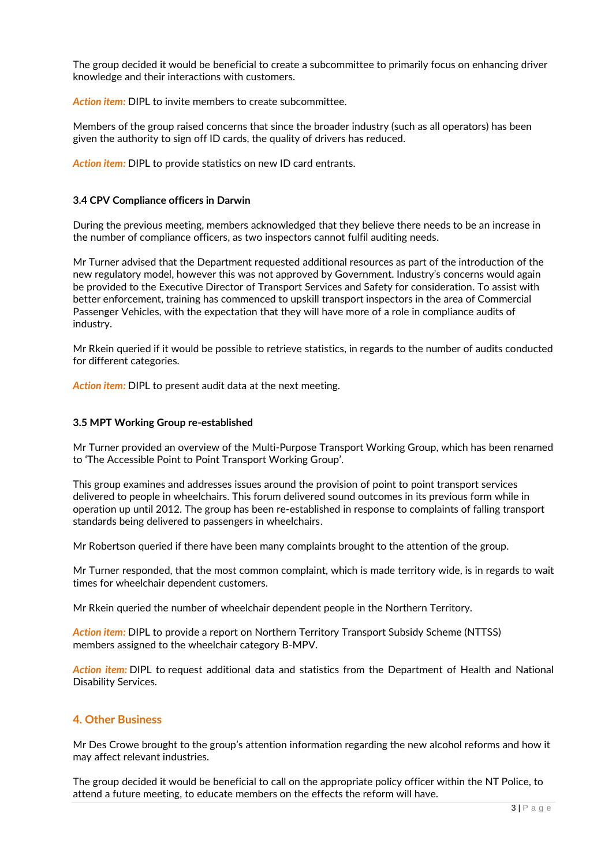The group decided it would be beneficial to create a subcommittee to primarily focus on enhancing driver knowledge and their interactions with customers.

*Action item:* DIPL to invite members to create subcommittee.

Members of the group raised concerns that since the broader industry (such as all operators) has been given the authority to sign off ID cards, the quality of drivers has reduced.

*Action item:* DIPL to provide statistics on new ID card entrants.

#### **3.4 CPV Compliance officers in Darwin**

During the previous meeting, members acknowledged that they believe there needs to be an increase in the number of compliance officers, as two inspectors cannot fulfil auditing needs.

Mr Turner advised that the Department requested additional resources as part of the introduction of the new regulatory model, however this was not approved by Government. Industry's concerns would again be provided to the Executive Director of Transport Services and Safety for consideration. To assist with better enforcement, training has commenced to upskill transport inspectors in the area of Commercial Passenger Vehicles, with the expectation that they will have more of a role in compliance audits of industry.

Mr Rkein queried if it would be possible to retrieve statistics, in regards to the number of audits conducted for different categories.

*Action item:* DIPL to present audit data at the next meeting.

#### **3.5 MPT Working Group re-established**

Mr Turner provided an overview of the Multi-Purpose Transport Working Group, which has been renamed to 'The Accessible Point to Point Transport Working Group'.

This group examines and addresses issues around the provision of point to point transport services delivered to people in wheelchairs. This forum delivered sound outcomes in its previous form while in operation up until 2012. The group has been re-established in response to complaints of falling transport standards being delivered to passengers in wheelchairs.

Mr Robertson queried if there have been many complaints brought to the attention of the group.

Mr Turner responded, that the most common complaint, which is made territory wide, is in regards to wait times for wheelchair dependent customers.

Mr Rkein queried the number of wheelchair dependent people in the Northern Territory.

*Action item:* DIPL to provide a report on Northern Territory Transport Subsidy Scheme (NTTSS) members assigned to the wheelchair category B-MPV.

*Action item:* DIPL to request additional data and statistics from the Department of Health and National Disability Services.

# **4. Other Business**

Mr Des Crowe brought to the group's attention information regarding the new alcohol reforms and how it may affect relevant industries.

The group decided it would be beneficial to call on the appropriate policy officer within the NT Police, to attend a future meeting, to educate members on the effects the reform will have.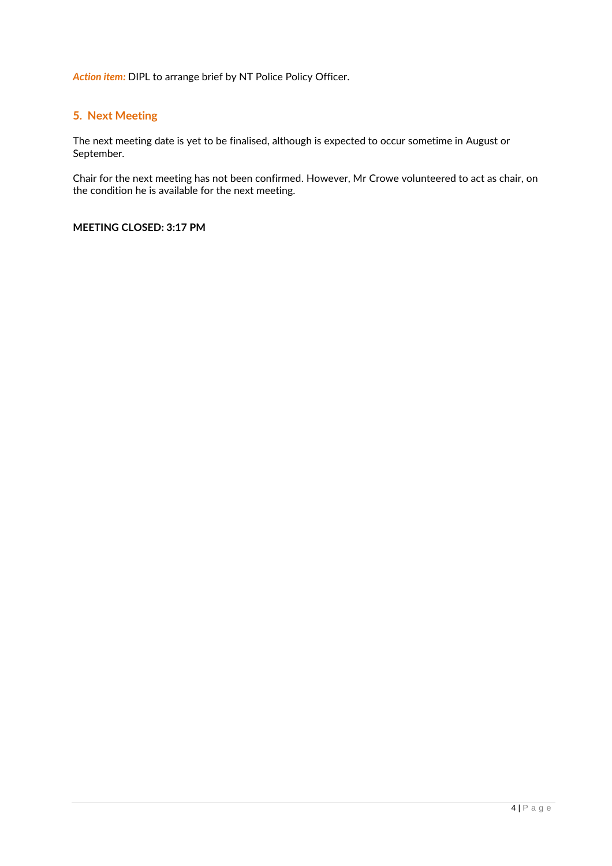*Action item:* DIPL to arrange brief by NT Police Policy Officer.

# **5. Next Meeting**

The next meeting date is yet to be finalised, although is expected to occur sometime in August or September.

Chair for the next meeting has not been confirmed. However, Mr Crowe volunteered to act as chair, on the condition he is available for the next meeting.

# **MEETING CLOSED: 3:17 PM**